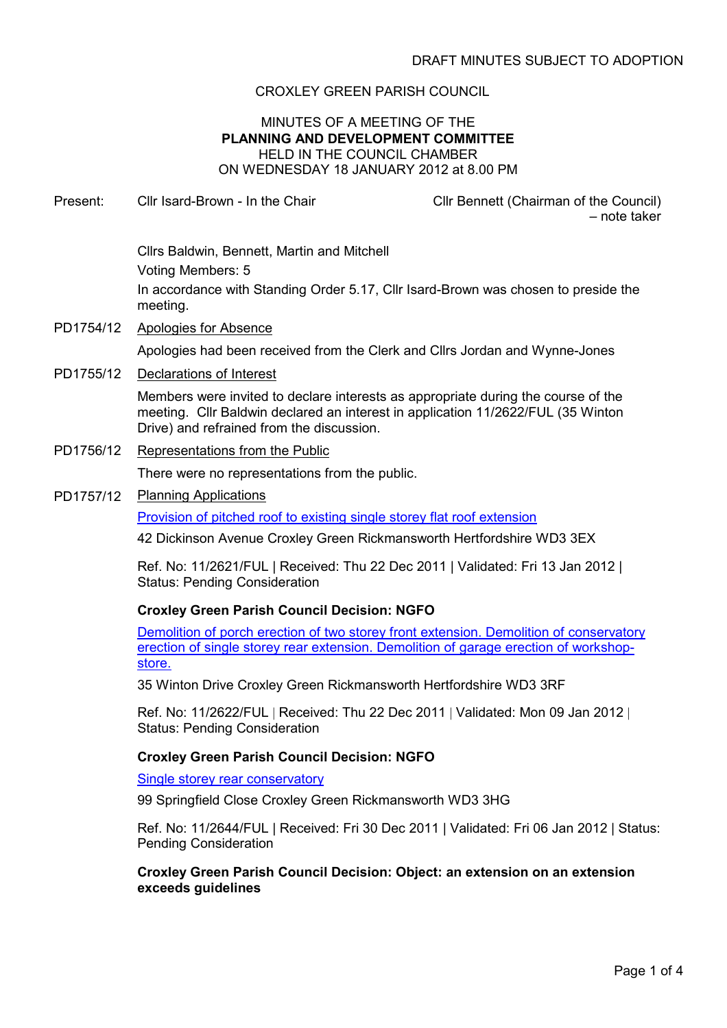# CROXLEY GREEN PARISH COUNCIL

#### MINUTES OF A MEETING OF THE PLANNING AND DEVELOPMENT COMMITTEE HELD IN THE COUNCIL CHAMBER ON WEDNESDAY 18 JANUARY 2012 at 8.00 PM

Present: Cllr Isard-Brown - In the Chair Clir Clir Bennett (Chairman of the Council)

– note taker

Cllrs Baldwin, Bennett, Martin and Mitchell Voting Members: 5 In accordance with Standing Order 5.17, Cllr Isard-Brown was chosen to preside the meeting.

PD1754/12 Apologies for Absence

Apologies had been received from the Clerk and Cllrs Jordan and Wynne-Jones

PD1755/12 Declarations of Interest

Members were invited to declare interests as appropriate during the course of the meeting. Cllr Baldwin declared an interest in application 11/2622/FUL (35 Winton Drive) and refrained from the discussion.

PD1756/12 Representations from the Public

There were no representations from the public.

PD1757/12 Planning Applications

Provision of pitched roof to existing single storey flat roof extension

42 Dickinson Avenue Croxley Green Rickmansworth Hertfordshire WD3 3EX

Ref. No: 11/2621/FUL | Received: Thu 22 Dec 2011 | Validated: Fri 13 Jan 2012 | Status: Pending Consideration

# Croxley Green Parish Council Decision: NGFO

Demolition of porch erection of two storey front extension. Demolition of conservatory erection of single storey rear extension. Demolition of garage erection of workshopstore.

35 Winton Drive Croxley Green Rickmansworth Hertfordshire WD3 3RF

Ref. No: 11/2622/FUL | Received: Thu 22 Dec 2011 | Validated: Mon 09 Jan 2012 | Status: Pending Consideration

# Croxley Green Parish Council Decision: NGFO

Single storey rear conservatory

99 Springfield Close Croxley Green Rickmansworth WD3 3HG

Ref. No: 11/2644/FUL | Received: Fri 30 Dec 2011 | Validated: Fri 06 Jan 2012 | Status: Pending Consideration

#### Croxley Green Parish Council Decision: Object: an extension on an extension exceeds guidelines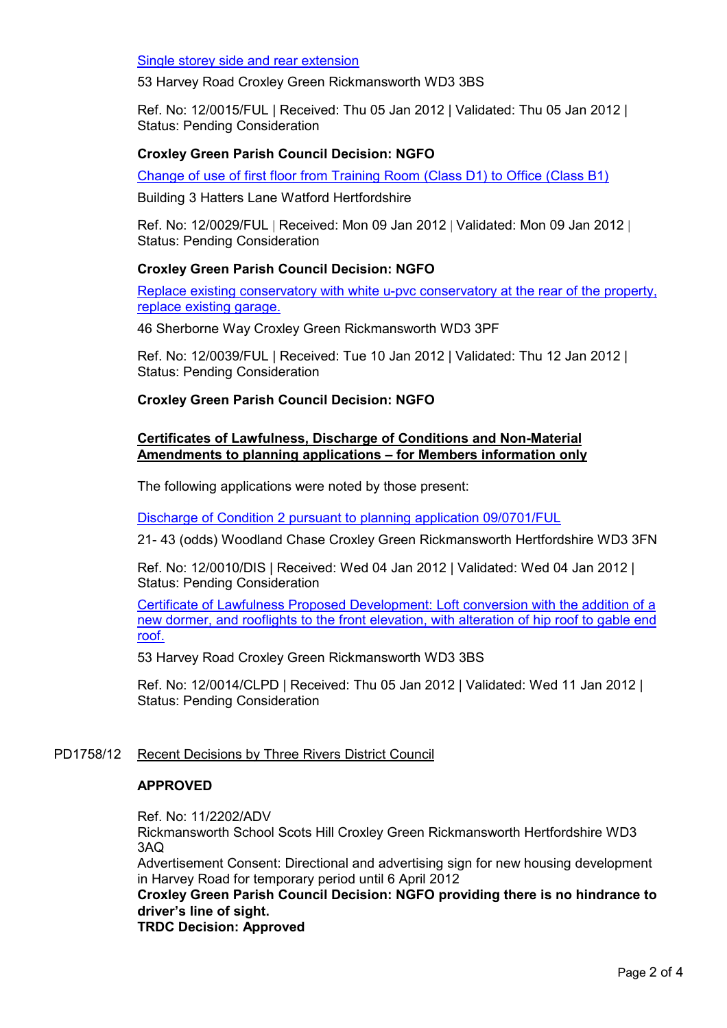Single storey side and rear extension

53 Harvey Road Croxley Green Rickmansworth WD3 3BS

Ref. No: 12/0015/FUL | Received: Thu 05 Jan 2012 | Validated: Thu 05 Jan 2012 | Status: Pending Consideration

#### Croxley Green Parish Council Decision: NGFO

Change of use of first floor from Training Room (Class D1) to Office (Class B1)

Building 3 Hatters Lane Watford Hertfordshire

Ref. No: 12/0029/FUL | Received: Mon 09 Jan 2012 | Validated: Mon 09 Jan 2012 | Status: Pending Consideration

# Croxley Green Parish Council Decision: NGFO

Replace existing conservatory with white u-pvc conservatory at the rear of the property, replace existing garage.

46 Sherborne Way Croxley Green Rickmansworth WD3 3PF

Ref. No: 12/0039/FUL | Received: Tue 10 Jan 2012 | Validated: Thu 12 Jan 2012 | Status: Pending Consideration

# Croxley Green Parish Council Decision: NGFO

# Certificates of Lawfulness, Discharge of Conditions and Non-Material Amendments to planning applications – for Members information only

The following applications were noted by those present:

Discharge of Condition 2 pursuant to planning application 09/0701/FUL

21- 43 (odds) Woodland Chase Croxley Green Rickmansworth Hertfordshire WD3 3FN

Ref. No: 12/0010/DIS | Received: Wed 04 Jan 2012 | Validated: Wed 04 Jan 2012 | Status: Pending Consideration

Certificate of Lawfulness Proposed Development: Loft conversion with the addition of a new dormer, and rooflights to the front elevation, with alteration of hip roof to gable end roof.

53 Harvey Road Croxley Green Rickmansworth WD3 3BS

Ref. No: 12/0014/CLPD | Received: Thu 05 Jan 2012 | Validated: Wed 11 Jan 2012 | Status: Pending Consideration

# PD1758/12 Recent Decisions by Three Rivers District Council

#### APPROVED

Ref. No: 11/2202/ADV

Rickmansworth School Scots Hill Croxley Green Rickmansworth Hertfordshire WD3 3AQ

Advertisement Consent: Directional and advertising sign for new housing development in Harvey Road for temporary period until 6 April 2012

# Croxley Green Parish Council Decision: NGFO providing there is no hindrance to driver's line of sight.

TRDC Decision: Approved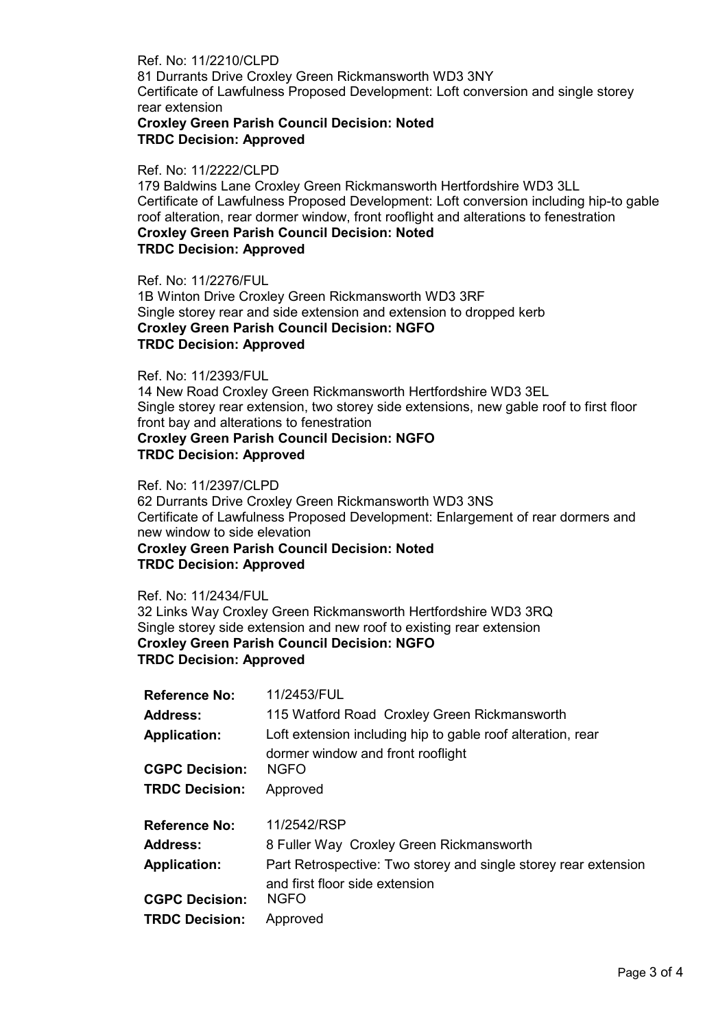Ref. No: 11/2210/CLPD 81 Durrants Drive Croxley Green Rickmansworth WD3 3NY Certificate of Lawfulness Proposed Development: Loft conversion and single storey rear extension

# Croxley Green Parish Council Decision: Noted TRDC Decision: Approved

#### Ref. No: 11/2222/CLPD

179 Baldwins Lane Croxley Green Rickmansworth Hertfordshire WD3 3LL Certificate of Lawfulness Proposed Development: Loft conversion including hip-to gable roof alteration, rear dormer window, front rooflight and alterations to fenestration Croxley Green Parish Council Decision: Noted TRDC Decision: Approved

Ref. No: 11/2276/FUL 1B Winton Drive Croxley Green Rickmansworth WD3 3RF Single storey rear and side extension and extension to dropped kerb Croxley Green Parish Council Decision: NGFO TRDC Decision: Approved

#### Ref. No: 11/2393/FUL

14 New Road Croxley Green Rickmansworth Hertfordshire WD3 3EL Single storey rear extension, two storey side extensions, new gable roof to first floor front bay and alterations to fenestration Croxley Green Parish Council Decision: NGFO TRDC Decision: Approved

Ref. No: 11/2397/CLPD 62 Durrants Drive Croxley Green Rickmansworth WD3 3NS Certificate of Lawfulness Proposed Development: Enlargement of rear dormers and new window to side elevation Croxley Green Parish Council Decision: Noted TRDC Decision: Approved

Ref. No: 11/2434/FUL 32 Links Way Croxley Green Rickmansworth Hertfordshire WD3 3RQ Single storey side extension and new roof to existing rear extension Croxley Green Parish Council Decision: NGFO TRDC Decision: Approved

| <b>Reference No:</b>  | 11/2453/FUL                                                     |
|-----------------------|-----------------------------------------------------------------|
| <b>Address:</b>       | 115 Watford Road Croxley Green Rickmansworth                    |
| <b>Application:</b>   | Loft extension including hip to gable roof alteration, rear     |
|                       | dormer window and front rooflight                               |
| <b>CGPC Decision:</b> | <b>NGFO</b>                                                     |
| <b>TRDC Decision:</b> | Approved                                                        |
|                       |                                                                 |
|                       |                                                                 |
| <b>Reference No:</b>  | 11/2542/RSP                                                     |
| <b>Address:</b>       | 8 Fuller Way Croxley Green Rickmansworth                        |
| <b>Application:</b>   | Part Retrospective: Two storey and single storey rear extension |
|                       | and first floor side extension                                  |
| <b>CGPC Decision:</b> | <b>NGFO</b>                                                     |